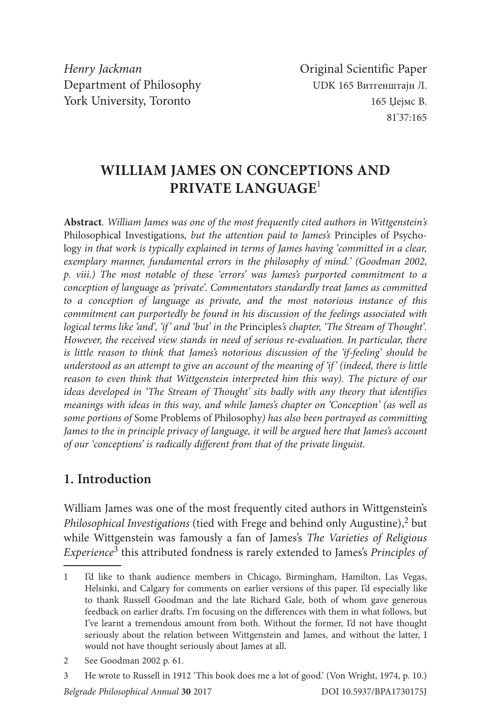*Henry Jackman* **Original Scientific Paper** Department of Philosophy UDK 165 Витгенштајн Л. York University, Toronto 165 Џејмс В.

# **WILLIAM JAMES ON CONCEPTIONS AND PRIVATE LANGUAGE**<sup>1</sup>

**Abstract***. William James was one of the most frequently cited authors in Wittgenstein's*  Philosophical Investigations*, but the attention paid to James's* Principles of Psychology in that work is typically explained in terms of James having 'committed in a clear, *exemplary manner, fundamental errors in the philosophy of mind.' (Goodman 2002, p. viii.) The most notable of these 'errors' was James's purported commitment to a conception of language as 'private'. Commentators standardly treat James as committed to a conception of language as private, and the most notorious instance of this commitment can purportedly be found in his discussion of the feelings associated with logical terms like 'and', 'if' and 'but' in the* Principles*'s chapter, 'The Stream of Thought'. However, the received view stands in need of serious re-evaluation. In particular, there is little reason to think that James's notorious discussion of the 'if-feeling' should be understood as an attempt to give an account of the meaning of 'if' (indeed, there is little reason to even think that Wittgenstein interpreted him this way). The picture of our ideas developed in 'The Stream of Thought' sits badly with any theory that identifies meanings with ideas in this way, and while James's chapter on 'Conception' (as well as some portions of* Some Problems of Philosophy*) has also been portrayed as committing James to the in principle privacy of language, it will be argued here that James's account of our 'conceptions' is radically different from that of the private linguist.*

### **1. Introduction**

William James was one of the most frequently cited authors in Wittgenstein's *Philosophical Investigations* (tied with Frege and behind only Augustine),<sup>2</sup> but while Wittgenstein was famously a fan of James's *The Varieties of Religious Experience*3 this attributed fondness is rarely extended to James's *Principles of* 

<sup>1</sup> I'd like to thank audience members in Chicago, Birmingham, Hamilton, Las Vegas, Helsinki, and Calgary for comments on earlier versions of this paper. I'd especially like to thank Russell Goodman and the late Richard Gale, both of whom gave generous feedback on earlier drafts. I'm focusing on the differences with them in what follows, but I've learnt a tremendous amount from both. Without the former, I'd not have thought seriously about the relation between Wittgenstein and James, and without the latter, I would not have thought seriously about James at all.

<sup>2</sup> See Goodman 2002 p. 61.

<sup>3</sup> He wrote to Russell in 1912 'This book does me a lot of good.' (Von Wright, 1974, p. 10.)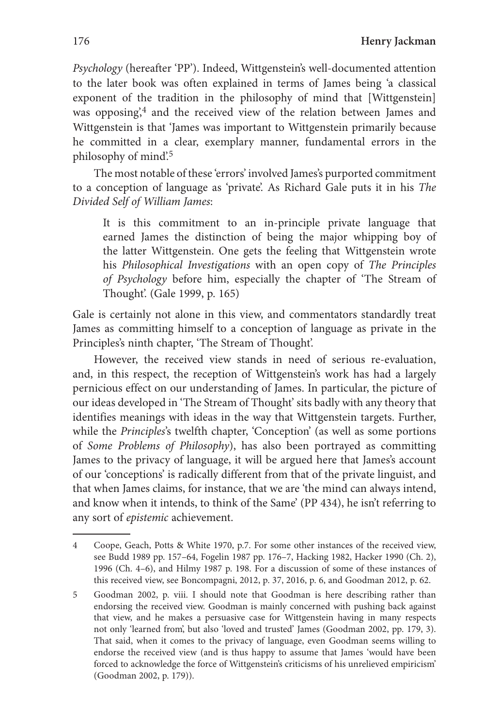*Psychology* (hereafter 'PP'). Indeed, Wittgenstein's well-documented attention to the later book was often explained in terms of James being 'a classical exponent of the tradition in the philosophy of mind that [Wittgenstein] was opposing,<sup>4</sup> and the received view of the relation between James and Wittgenstein is that 'James was important to Wittgenstein primarily because he committed in a clear, exemplary manner, fundamental errors in the philosophy of mind'.<sup>5</sup>

The most notable of these 'errors' involved James's purported commitment to a conception of language as 'private'. As Richard Gale puts it in his *The Divided Self of William James*:

It is this commitment to an in-principle private language that earned James the distinction of being the major whipping boy of the latter Wittgenstein. One gets the feeling that Wittgenstein wrote his *Philosophical Investigations* with an open copy of *The Principles of Psychology* before him, especially the chapter of 'The Stream of Thought'. (Gale 1999, p. 165)

Gale is certainly not alone in this view, and commentators standardly treat James as committing himself to a conception of language as private in the Principles's ninth chapter, 'The Stream of Thought'.

However, the received view stands in need of serious re-evaluation, and, in this respect, the reception of Wittgenstein's work has had a largely pernicious effect on our understanding of James. In particular, the picture of our ideas developed in 'The Stream of Thought' sits badly with any theory that identifies meanings with ideas in the way that Wittgenstein targets. Further, while the *Principles*'s twelfth chapter, 'Conception' (as well as some portions of *Some Problems of Philosophy*), has also been portrayed as committing James to the privacy of language, it will be argued here that James's account of our 'conceptions' is radically different from that of the private linguist, and that when James claims, for instance, that we are 'the mind can always intend, and know when it intends, to think of the Same' (PP 434), he isn't referring to any sort of *epistemic* achievement.

<sup>4</sup> Coope, Geach, Potts & White 1970, p.7. For some other instances of the received view, see Budd 1989 pp. 157–64, Fogelin 1987 pp. 176–7, Hacking 1982, Hacker 1990 (Ch. 2), 1996 (Ch. 4–6), and Hilmy 1987 p. 198. For a discussion of some of these instances of this received view, see Boncompagni, 2012, p. 37, 2016, p. 6, and Goodman 2012, p. 62.

<sup>5</sup> Goodman 2002, p. viii. I should note that Goodman is here describing rather than endorsing the received view. Goodman is mainly concerned with pushing back against that view, and he makes a persuasive case for Wittgenstein having in many respects not only 'learned from', but also 'loved and trusted' James (Goodman 2002, pp. 179, 3). That said, when it comes to the privacy of language, even Goodman seems willing to endorse the received view (and is thus happy to assume that James 'would have been forced to acknowledge the force of Wittgenstein's criticisms of his unrelieved empiricism' (Goodman 2002, p. 179)).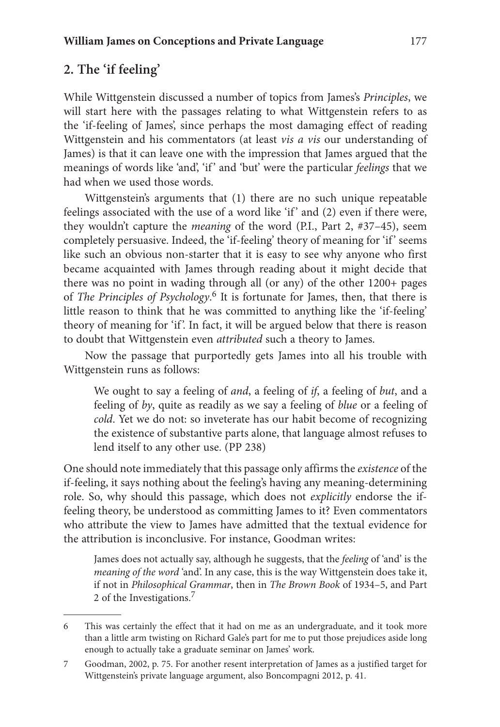## **2. The 'if feeling'**

While Wittgenstein discussed a number of topics from James's *Principles*, we will start here with the passages relating to what Wittgenstein refers to as the 'if-feeling of James', since perhaps the most damaging effect of reading Wittgenstein and his commentators (at least *vis a vis* our understanding of James) is that it can leave one with the impression that James argued that the meanings of words like 'and', 'if ' and 'but' were the particular *feelings* that we had when we used those words.

Wittgenstein's arguments that (1) there are no such unique repeatable feelings associated with the use of a word like 'if' and (2) even if there were, they wouldn't capture the *meaning* of the word (P.I., Part 2, #37–45), seem completely persuasive. Indeed, the 'if-feeling' theory of meaning for 'if' seems like such an obvious non-starter that it is easy to see why anyone who first became acquainted with James through reading about it might decide that there was no point in wading through all (or any) of the other 1200+ pages of *The Principles of Psychology*.<sup>6</sup> It is fortunate for James, then, that there is little reason to think that he was committed to anything like the 'if-feeling' theory of meaning for 'if'. In fact, it will be argued below that there is reason to doubt that Wittgenstein even *attributed* such a theory to James.

Now the passage that purportedly gets James into all his trouble with Wittgenstein runs as follows:

We ought to say a feeling of *and*, a feeling of *if*, a feeling of *but*, and a feeling of *by*, quite as readily as we say a feeling of *blue* or a feeling of *cold*. Yet we do not: so inveterate has our habit become of recognizing the existence of substantive parts alone, that language almost refuses to lend itself to any other use. (PP 238)

One should note immediately that this passage only affirms the *existence* of the if-feeling, it says nothing about the feeling's having any meaning-determining role. So, why should this passage, which does not *explicitly* endorse the iffeeling theory, be understood as committing James to it? Even commentators who attribute the view to James have admitted that the textual evidence for the attribution is inconclusive. For instance, Goodman writes:

James does not actually say, although he suggests, that the *feeling* of 'and' is the *meaning of the word* 'and'. In any case, this is the way Wittgenstein does take it, if not in *Philosophical Grammar*, then in *The Brown Book* of 1934–5, and Part 2 of the Investigations.<sup>7</sup>

<sup>6</sup> This was certainly the effect that it had on me as an undergraduate, and it took more than a little arm twisting on Richard Gale's part for me to put those prejudices aside long enough to actually take a graduate seminar on James' work.

<sup>7</sup> Goodman, 2002, p. 75. For another resent interpretation of James as a justified target for Wittgenstein's private language argument, also Boncompagni 2012, p. 41.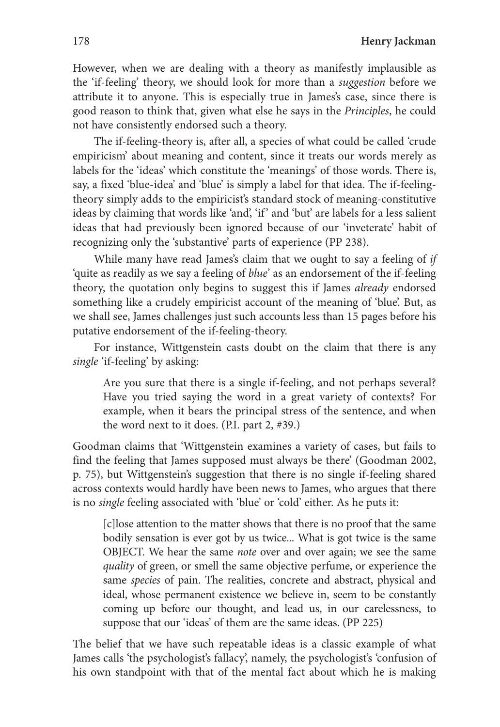178 **Henry Jackman**

However, when we are dealing with a theory as manifestly implausible as the 'if-feeling' theory, we should look for more than a *suggestion* before we attribute it to anyone. This is especially true in James's case, since there is good reason to think that, given what else he says in the *Principles*, he could not have consistently endorsed such a theory.

The if-feeling-theory is, after all, a species of what could be called 'crude empiricism' about meaning and content, since it treats our words merely as labels for the 'ideas' which constitute the 'meanings' of those words. There is, say, a fixed 'blue-idea' and 'blue' is simply a label for that idea. The if-feelingtheory simply adds to the empiricist's standard stock of meaning-constitutive ideas by claiming that words like 'and', 'if' and 'but' are labels for a less salient ideas that had previously been ignored because of our 'inveterate' habit of recognizing only the 'substantive' parts of experience (PP 238).

While many have read James's claim that we ought to say a feeling of *if* 'quite as readily as we say a feeling of *blue*' as an endorsement of the if-feeling theory, the quotation only begins to suggest this if James *already* endorsed something like a crudely empiricist account of the meaning of 'blue'. But, as we shall see, James challenges just such accounts less than 15 pages before his putative endorsement of the if-feeling-theory.

For instance, Wittgenstein casts doubt on the claim that there is any *single* 'if-feeling' by asking:

Are you sure that there is a single if-feeling, and not perhaps several? Have you tried saying the word in a great variety of contexts? For example, when it bears the principal stress of the sentence, and when the word next to it does. (P.I. part 2, #39.)

Goodman claims that 'Wittgenstein examines a variety of cases, but fails to find the feeling that James supposed must always be there' (Goodman 2002, p. 75), but Wittgenstein's suggestion that there is no single if-feeling shared across contexts would hardly have been news to James, who argues that there is no *single* feeling associated with 'blue' or 'cold' either. As he puts it:

[c]lose attention to the matter shows that there is no proof that the same bodily sensation is ever got by us twice... What is got twice is the same OBJECT. We hear the same *note* over and over again; we see the same *quality* of green, or smell the same objective perfume, or experience the same *species* of pain. The realities, concrete and abstract, physical and ideal, whose permanent existence we believe in, seem to be constantly coming up before our thought, and lead us, in our carelessness, to suppose that our 'ideas' of them are the same ideas. (PP 225)

The belief that we have such repeatable ideas is a classic example of what James calls 'the psychologist's fallacy', namely, the psychologist's 'confusion of his own standpoint with that of the mental fact about which he is making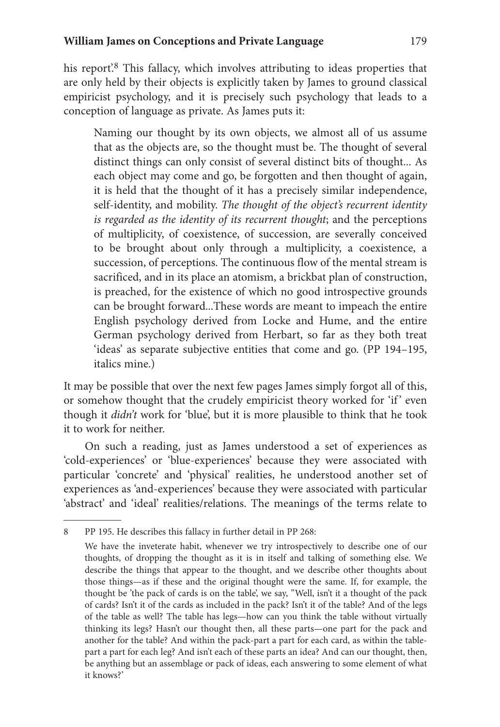his report<sup>'8</sup>. This fallacy, which involves attributing to ideas properties that are only held by their objects is explicitly taken by James to ground classical empiricist psychology, and it is precisely such psychology that leads to a conception of language as private. As James puts it:

Naming our thought by its own objects, we almost all of us assume that as the objects are, so the thought must be. The thought of several distinct things can only consist of several distinct bits of thought... As each object may come and go, be forgotten and then thought of again, it is held that the thought of it has a precisely similar independence, self-identity, and mobility. *The thought of the object's recurrent identity is regarded as the identity of its recurrent thought*; and the perceptions of multiplicity, of coexistence, of succession, are severally conceived to be brought about only through a multiplicity, a coexistence, a succession, of perceptions. The continuous flow of the mental stream is sacrificed, and in its place an atomism, a brickbat plan of construction, is preached, for the existence of which no good introspective grounds can be brought forward...These words are meant to impeach the entire English psychology derived from Locke and Hume, and the entire German psychology derived from Herbart, so far as they both treat 'ideas' as separate subjective entities that come and go. (PP 194–195, italics mine.)

It may be possible that over the next few pages James simply forgot all of this, or somehow thought that the crudely empiricist theory worked for 'if' even though it *didn't* work for 'blue', but it is more plausible to think that he took it to work for neither.

On such a reading, just as James understood a set of experiences as 'cold-experiences' or 'blue-experiences' because they were associated with particular 'concrete' and 'physical' realities, he understood another set of experiences as 'and-experiences' because they were associated with particular 'abstract' and 'ideal' realities/relations. The meanings of the terms relate to

<sup>8</sup> PP 195. He describes this fallacy in further detail in PP 268:

We have the inveterate habit, whenever we try introspectively to describe one of our thoughts, of dropping the thought as it is in itself and talking of something else. We describe the things that appear to the thought, and we describe other thoughts about those things—as if these and the original thought were the same. If, for example, the thought be 'the pack of cards is on the table', we say, ''Well, isn't it a thought of the pack of cards? Isn't it of the cards as included in the pack? Isn't it of the table? And of the legs of the table as well? The table has legs—how can you think the table without virtually thinking its legs? Hasn't our thought then, all these parts—one part for the pack and another for the table? And within the pack-part a part for each card, as within the tablepart a part for each leg? And isn't each of these parts an idea? And can our thought, then, be anything but an assemblage or pack of ideas, each answering to some element of what it knows?'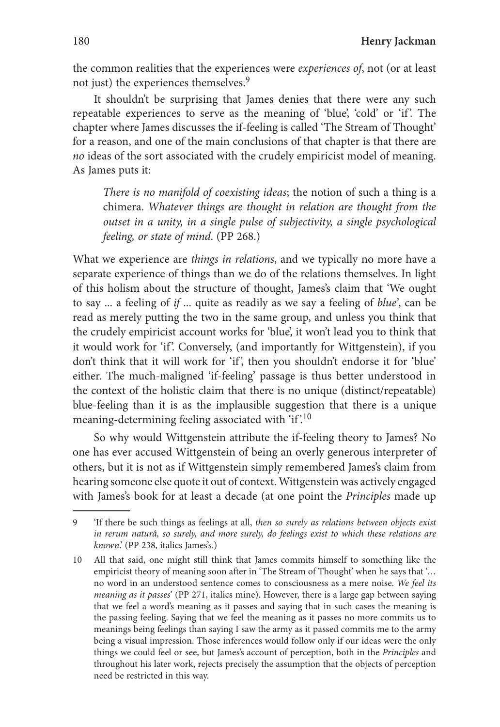the common realities that the experiences were *experiences of*, not (or at least not just) the experiences themselves.9

It shouldn't be surprising that James denies that there were any such repeatable experiences to serve as the meaning of 'blue', 'cold' or 'if '. The chapter where James discusses the if-feeling is called 'The Stream of Thought' for a reason, and one of the main conclusions of that chapter is that there are *no* ideas of the sort associated with the crudely empiricist model of meaning. As James puts it:

*There is no manifold of coexisting ideas*; the notion of such a thing is a chimera. *Whatever things are thought in relation are thought from the outset in a unity, in a single pulse of subjectivity, a single psychological feeling, or state of mind*. (PP 268.)

What we experience are *things in relations*, and we typically no more have a separate experience of things than we do of the relations themselves. In light of this holism about the structure of thought, James's claim that 'We ought to say ... a feeling of *if* ... quite as readily as we say a feeling of *blue'*, can be read as merely putting the two in the same group, and unless you think that the crudely empiricist account works for 'blue', it won't lead you to think that it would work for 'if'. Conversely, (and importantly for Wittgenstein), if you don't think that it will work for 'if', then you shouldn't endorse it for 'blue' either. The much-maligned 'if-feeling' passage is thus better understood in the context of the holistic claim that there is no unique (distinct/repeatable) blue-feeling than it is as the implausible suggestion that there is a unique meaning-determining feeling associated with 'if'.<sup>10</sup>

So why would Wittgenstein attribute the if-feeling theory to James? No one has ever accused Wittgenstein of being an overly generous interpreter of others, but it is not as if Wittgenstein simply remembered James's claim from hearing someone else quote it out of context. Wittgenstein was actively engaged with James's book for at least a decade (at one point the *Principles* made up

<sup>9 &#</sup>x27;If there be such things as feelings at all, *then so surely as relations between objects exist in rerum naturâ, so surely, and more surely, do feelings exist to which these relations are known*.' (PP 238, italics James's.)

<sup>10</sup> All that said, one might still think that James commits himself to something like the empiricist theory of meaning soon after in 'The Stream of Thought' when he says that '… no word in an understood sentence comes to consciousness as a mere noise. *We feel its meaning as it passes*' (PP 271, italics mine). However, there is a large gap between saying that we feel a word's meaning as it passes and saying that in such cases the meaning is the passing feeling. Saying that we feel the meaning as it passes no more commits us to meanings being feelings than saying I saw the army as it passed commits me to the army being a visual impression. Those inferences would follow only if our ideas were the only things we could feel or see, but James's account of perception, both in the *Principles* and throughout his later work, rejects precisely the assumption that the objects of perception need be restricted in this way.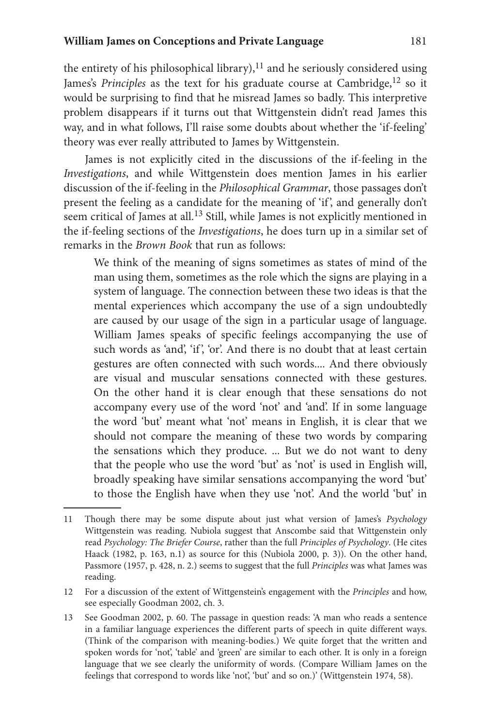the entirety of his philosophical library), $^{11}$  and he seriously considered using James's *Principles* as the text for his graduate course at Cambridge,<sup>12</sup> so it would be surprising to find that he misread James so badly. This interpretive problem disappears if it turns out that Wittgenstein didn't read James this way, and in what follows, I'll raise some doubts about whether the 'if-feeling' theory was ever really attributed to James by Wittgenstein.

James is not explicitly cited in the discussions of the if-feeling in the *Investigations*, and while Wittgenstein does mention James in his earlier discussion of the if-feeling in the *Philosophical Grammar*, those passages don't present the feeling as a candidate for the meaning of 'if', and generally don't seem critical of James at all.<sup>13</sup> Still, while James is not explicitly mentioned in the if-feeling sections of the *Investigations*, he does turn up in a similar set of remarks in the *Brown Book* that run as follows:

We think of the meaning of signs sometimes as states of mind of the man using them, sometimes as the role which the signs are playing in a system of language. The connection between these two ideas is that the mental experiences which accompany the use of a sign undoubtedly are caused by our usage of the sign in a particular usage of language. William James speaks of specific feelings accompanying the use of such words as 'and', 'if', 'or'. And there is no doubt that at least certain gestures are often connected with such words.... And there obviously are visual and muscular sensations connected with these gestures. On the other hand it is clear enough that these sensations do not accompany every use of the word 'not' and 'and'. If in some language the word 'but' meant what 'not' means in English, it is clear that we should not compare the meaning of these two words by comparing the sensations which they produce. ... But we do not want to deny that the people who use the word 'but' as 'not' is used in English will, broadly speaking have similar sensations accompanying the word 'but' to those the English have when they use 'not'. And the world 'but' in

<sup>11</sup> Though there may be some dispute about just what version of James's *Psychology* Wittgenstein was reading. Nubiola suggest that Anscombe said that Wittgenstein only read *Psychology: The Briefer Course*, rather than the full *Principles of Psychology*. (He cites Haack (1982, p. 163, n.1) as source for this (Nubiola 2000, p. 3)). On the other hand, Passmore (1957, p. 428, n. 2.) seems to suggest that the full *Principles* was what James was reading.

<sup>12</sup> For a discussion of the extent of Wittgenstein's engagement with the *Principles* and how, see especially Goodman 2002, ch. 3.

<sup>13</sup> See Goodman 2002, p. 60. The passage in question reads: 'A man who reads a sentence in a familiar language experiences the different parts of speech in quite different ways. (Think of the comparison with meaning-bodies.) We quite forget that the written and spoken words for 'not', 'table' and 'green' are similar to each other. It is only in a foreign language that we see clearly the uniformity of words. (Compare William James on the feelings that correspond to words like 'not', 'but' and so on.)' (Wittgenstein 1974, 58).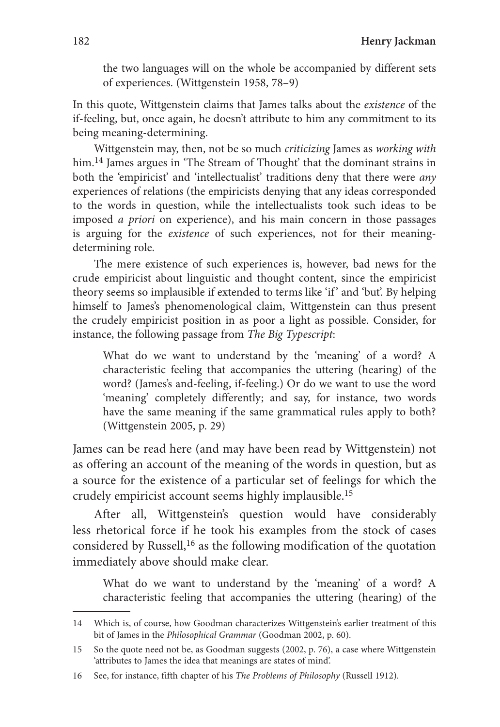the two languages will on the whole be accompanied by different sets of experiences. (Wittgenstein 1958, 78–9)

In this quote, Wittgenstein claims that James talks about the *existence* of the if-feeling, but, once again, he doesn't attribute to him any commitment to its being meaning-determining.

Wittgenstein may, then, not be so much *criticizing* James as *working with* him.<sup>14</sup> James argues in 'The Stream of Thought' that the dominant strains in both the 'empiricist' and 'intellectualist' traditions deny that there were *any* experiences of relations (the empiricists denying that any ideas corresponded to the words in question, while the intellectualists took such ideas to be imposed *a priori* on experience), and his main concern in those passages is arguing for the *existence* of such experiences, not for their meaningdetermining role.

The mere existence of such experiences is, however, bad news for the crude empiricist about linguistic and thought content, since the empiricist theory seems so implausible if extended to terms like 'if ' and 'but'. By helping himself to James's phenomenological claim, Wittgenstein can thus present the crudely empiricist position in as poor a light as possible. Consider, for instance, the following passage from *The Big Typescript*:

What do we want to understand by the 'meaning' of a word? A characteristic feeling that accompanies the uttering (hearing) of the word? (James's and-feeling, if-feeling.) Or do we want to use the word 'meaning' completely differently; and say, for instance, two words have the same meaning if the same grammatical rules apply to both? (Wittgenstein 2005, p. 29)

James can be read here (and may have been read by Wittgenstein) not as offering an account of the meaning of the words in question, but as a source for the existence of a particular set of feelings for which the crudely empiricist account seems highly implausible.15

After all, Wittgenstein's question would have considerably less rhetorical force if he took his examples from the stock of cases considered by Russell,<sup>16</sup> as the following modification of the quotation immediately above should make clear.

What do we want to understand by the 'meaning' of a word? A characteristic feeling that accompanies the uttering (hearing) of the

<sup>14</sup> Which is, of course, how Goodman characterizes Wittgenstein's earlier treatment of this bit of James in the *Philosophical Grammar* (Goodman 2002, p. 60).

<sup>15</sup> So the quote need not be, as Goodman suggests (2002, p. 76), a case where Wittgenstein 'attributes to James the idea that meanings are states of mind'.

<sup>16</sup> See, for instance, fifth chapter of his *The Problems of Philosophy* (Russell 1912).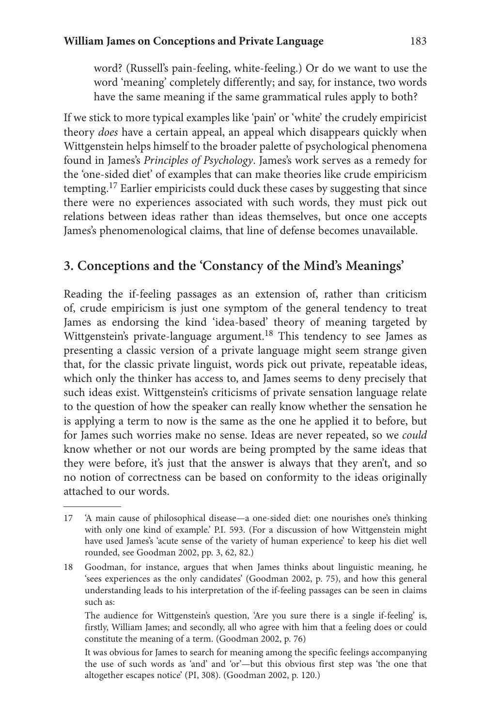word? (Russell's pain-feeling, white-feeling.) Or do we want to use the word 'meaning' completely differently; and say, for instance, two words have the same meaning if the same grammatical rules apply to both?

If we stick to more typical examples like 'pain' or 'white' the crudely empiricist theory *does* have a certain appeal, an appeal which disappears quickly when Wittgenstein helps himself to the broader palette of psychological phenomena found in James's *Principles of Psychology*. James's work serves as a remedy for the 'one-sided diet' of examples that can make theories like crude empiricism tempting.17 Earlier empiricists could duck these cases by suggesting that since there were no experiences associated with such words, they must pick out relations between ideas rather than ideas themselves, but once one accepts James's phenomenological claims, that line of defense becomes unavailable.

## **3. Conceptions and the 'Constancy of the Mind's Meanings'**

Reading the if-feeling passages as an extension of, rather than criticism of, crude empiricism is just one symptom of the general tendency to treat James as endorsing the kind 'idea-based' theory of meaning targeted by Wittgenstein's private-language argument.<sup>18</sup> This tendency to see James as presenting a classic version of a private language might seem strange given that, for the classic private linguist, words pick out private, repeatable ideas, which only the thinker has access to, and James seems to deny precisely that such ideas exist. Wittgenstein's criticisms of private sensation language relate to the question of how the speaker can really know whether the sensation he is applying a term to now is the same as the one he applied it to before, but for James such worries make no sense. Ideas are never repeated, so we *could*  know whether or not our words are being prompted by the same ideas that they were before, it's just that the answer is always that they aren't, and so no notion of correctness can be based on conformity to the ideas originally attached to our words.

 The audience for Wittgenstein's question, 'Are you sure there is a single if-feeling' is, firstly, William James; and secondly, all who agree with him that a feeling does or could constitute the meaning of a term. (Goodman 2002, p. 76)

 It was obvious for James to search for meaning among the specific feelings accompanying the use of such words as 'and' and 'or'—but this obvious first step was 'the one that altogether escapes notice' (PI, 308). (Goodman 2002, p. 120.)

<sup>17 &#</sup>x27;A main cause of philosophical disease—a one-sided diet: one nourishes one's thinking with only one kind of example.' P.I. 593. (For a discussion of how Wittgenstein might have used James's 'acute sense of the variety of human experience' to keep his diet well rounded, see Goodman 2002, pp. 3, 62, 82.)

<sup>18</sup> Goodman, for instance, argues that when James thinks about linguistic meaning, he 'sees experiences as the only candidates' (Goodman 2002, p. 75), and how this general understanding leads to his interpretation of the if-feeling passages can be seen in claims such as: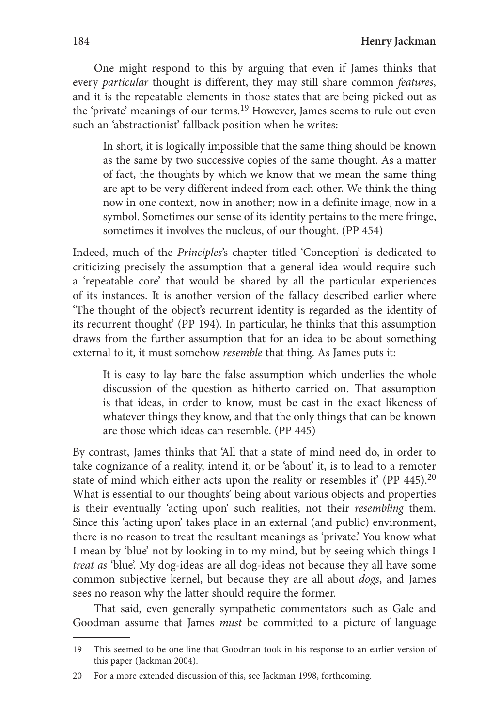One might respond to this by arguing that even if James thinks that every *particular* thought is different, they may still share common *features*, and it is the repeatable elements in those states that are being picked out as the 'private' meanings of our terms.19 However, James seems to rule out even such an 'abstractionist' fallback position when he writes:

In short, it is logically impossible that the same thing should be known as the same by two successive copies of the same thought. As a matter of fact, the thoughts by which we know that we mean the same thing are apt to be very different indeed from each other. We think the thing now in one context, now in another; now in a definite image, now in a symbol. Sometimes our sense of its identity pertains to the mere fringe, sometimes it involves the nucleus, of our thought. (PP 454)

Indeed, much of the *Principles*'s chapter titled 'Conception' is dedicated to criticizing precisely the assumption that a general idea would require such a 'repeatable core' that would be shared by all the particular experiences of its instances. It is another version of the fallacy described earlier where 'The thought of the object's recurrent identity is regarded as the identity of its recurrent thought' (PP 194). In particular, he thinks that this assumption draws from the further assumption that for an idea to be about something external to it, it must somehow *resemble* that thing. As James puts it:

It is easy to lay bare the false assumption which underlies the whole discussion of the question as hitherto carried on. That assumption is that ideas, in order to know, must be cast in the exact likeness of whatever things they know, and that the only things that can be known are those which ideas can resemble. (PP 445)

By contrast, James thinks that 'All that a state of mind need do, in order to take cognizance of a reality, intend it, or be 'about' it, is to lead to a remoter state of mind which either acts upon the reality or resembles it' (PP  $445$ ).<sup>20</sup> What is essential to our thoughts' being about various objects and properties is their eventually 'acting upon' such realities, not their *resembling* them. Since this 'acting upon' takes place in an external (and public) environment, there is no reason to treat the resultant meanings as 'private.' You know what I mean by 'blue' not by looking in to my mind, but by seeing which things I *treat as* 'blue'. My dog-ideas are all dog-ideas not because they all have some common subjective kernel, but because they are all about *dogs*, and James sees no reason why the latter should require the former.

That said, even generally sympathetic commentators such as Gale and Goodman assume that James *must* be committed to a picture of language

<sup>19</sup> This seemed to be one line that Goodman took in his response to an earlier version of this paper (Jackman 2004).

<sup>20</sup> For a more extended discussion of this, see Jackman 1998, forthcoming.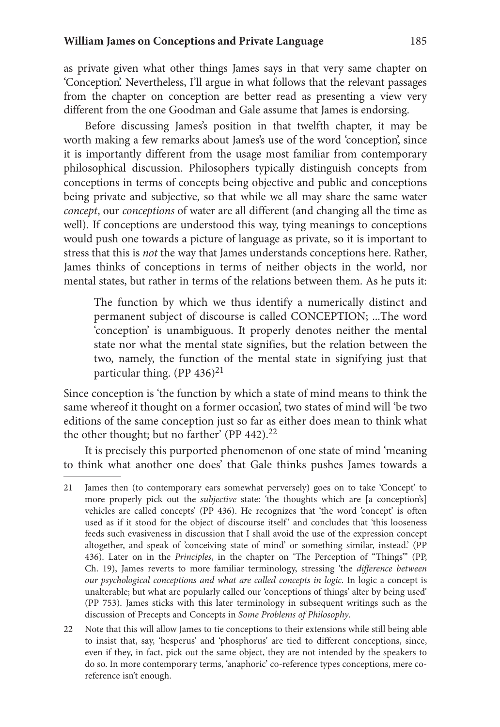as private given what other things James says in that very same chapter on 'Conception'. Nevertheless, I'll argue in what follows that the relevant passages from the chapter on conception are better read as presenting a view very different from the one Goodman and Gale assume that James is endorsing.

Before discussing James's position in that twelfth chapter, it may be worth making a few remarks about James's use of the word 'conception', since it is importantly different from the usage most familiar from contemporary philosophical discussion. Philosophers typically distinguish concepts from conceptions in terms of concepts being objective and public and conceptions being private and subjective, so that while we all may share the same water *concept*, our *conceptions* of water are all different (and changing all the time as well). If conceptions are understood this way, tying meanings to conceptions would push one towards a picture of language as private, so it is important to stress that this is *not* the way that James understands conceptions here. Rather, James thinks of conceptions in terms of neither objects in the world, nor mental states, but rather in terms of the relations between them. As he puts it:

The function by which we thus identify a numerically distinct and permanent subject of discourse is called CONCEPTION; ...The word 'conception' is unambiguous. It properly denotes neither the mental state nor what the mental state signifies, but the relation between the two, namely, the function of the mental state in signifying just that particular thing.  $(PP 436)^{21}$ 

Since conception is 'the function by which a state of mind means to think the same whereof it thought on a former occasion', two states of mind will 'be two editions of the same conception just so far as either does mean to think what the other thought; but no farther' (PP 442).<sup>22</sup>

It is precisely this purported phenomenon of one state of mind 'meaning to think what another one does' that Gale thinks pushes James towards a

22 Note that this will allow James to tie conceptions to their extensions while still being able to insist that, say, 'hesperus' and 'phosphorus' are tied to different conceptions, since, even if they, in fact, pick out the same object, they are not intended by the speakers to do so. In more contemporary terms, 'anaphoric' co-reference types conceptions, mere coreference isn't enough.

<sup>21</sup> James then (to contemporary ears somewhat perversely) goes on to take 'Concept' to more properly pick out the *subjective* state: 'the thoughts which are [a conception's] vehicles are called concepts' (PP 436). He recognizes that 'the word 'concept' is often used as if it stood for the object of discourse itself' and concludes that 'this looseness feeds such evasiveness in discussion that I shall avoid the use of the expression concept altogether, and speak of 'conceiving state of mind' or something similar, instead.' (PP 436). Later on in the *Principles*, in the chapter on 'The Perception of "Things"' (PP, Ch. 19), James reverts to more familiar terminology, stressing 'the *difference between our psychological conceptions and what are called concepts in logic*. In logic a concept is unalterable; but what are popularly called our 'conceptions of things' alter by being used' (PP 753). James sticks with this later terminology in subsequent writings such as the discussion of Precepts and Concepts in *Some Problems of Philosophy*.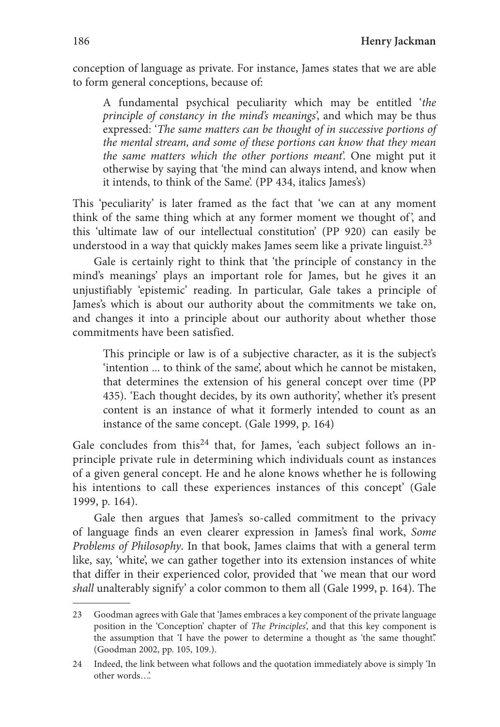conception of language as private. For instance, James states that we are able to form general conceptions, because of:

A fundamental psychical peculiarity which may be entitled '*the principle of constancy in the mind's meanings*', and which may be thus expressed: '*The same matters can be thought of in successive portions of the mental stream, and some of these portions can know that they mean the same matters which the other portions meant*'. One might put it otherwise by saying that 'the mind can always intend, and know when it intends, to think of the Same'. (PP 434, italics James's)

This 'peculiarity' is later framed as the fact that 'we can at any moment think of the same thing which at any former moment we thought of, and this 'ultimate law of our intellectual constitution' (PP 920) can easily be understood in a way that quickly makes James seem like a private linguist.<sup>23</sup>

Gale is certainly right to think that 'the principle of constancy in the mind's meanings' plays an important role for James, but he gives it an unjustifiably 'epistemic' reading. In particular, Gale takes a principle of James's which is about our authority about the commitments we take on, and changes it into a principle about our authority about whether those commitments have been satisfied.

This principle or law is of a subjective character, as it is the subject's 'intention ... to think of the same', about which he cannot be mistaken, that determines the extension of his general concept over time (PP 435). 'Each thought decides, by its own authority', whether it's present content is an instance of what it formerly intended to count as an instance of the same concept. (Gale 1999, p. 164)

Gale concludes from this<sup>24</sup> that, for James, 'each subject follows an inprinciple private rule in determining which individuals count as instances of a given general concept. He and he alone knows whether he is following his intentions to call these experiences instances of this concept' (Gale 1999, p. 164).

Gale then argues that James's so-called commitment to the privacy of language finds an even clearer expression in James's final work, *Some Problems of Philosophy*. In that book, James claims that with a general term like, say, 'white', we can gather together into its extension instances of white that differ in their experienced color, provided that 'we mean that our word *shall* unalterably signify' a color common to them all (Gale 1999, p. 164). The

<sup>23</sup> Goodman agrees with Gale that 'James embraces a key component of the private language position in the 'Conception' chapter of *The Principles*', and that this key component is the assumption that 'I have the power to determine a thought as 'the same thought'.' (Goodman 2002, pp. 105, 109.).

<sup>24</sup> Indeed, the link between what follows and the quotation immediately above is simply 'In other words…'.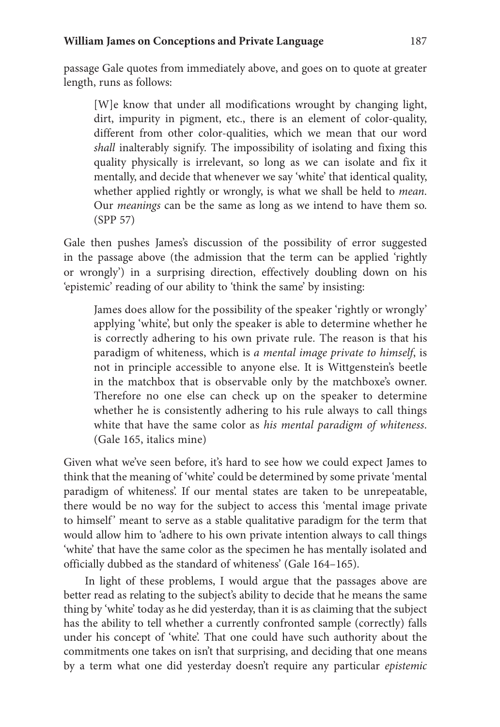passage Gale quotes from immediately above, and goes on to quote at greater length, runs as follows:

[W]e know that under all modifications wrought by changing light, dirt, impurity in pigment, etc., there is an element of color-quality, different from other color-qualities, which we mean that our word *shall* inalterably signify. The impossibility of isolating and fixing this quality physically is irrelevant, so long as we can isolate and fix it mentally, and decide that whenever we say 'white' that identical quality, whether applied rightly or wrongly, is what we shall be held to *mean*. Our *meanings* can be the same as long as we intend to have them so. (SPP 57)

Gale then pushes James's discussion of the possibility of error suggested in the passage above (the admission that the term can be applied 'rightly or wrongly') in a surprising direction, effectively doubling down on his 'epistemic' reading of our ability to 'think the same' by insisting:

James does allow for the possibility of the speaker 'rightly or wrongly' applying 'white', but only the speaker is able to determine whether he is correctly adhering to his own private rule. The reason is that his paradigm of whiteness, which is *a mental image private to himself*, is not in principle accessible to anyone else. It is Wittgenstein's beetle in the matchbox that is observable only by the matchboxe's owner. Therefore no one else can check up on the speaker to determine whether he is consistently adhering to his rule always to call things white that have the same color as *his mental paradigm of whiteness*. (Gale 165, italics mine)

Given what we've seen before, it's hard to see how we could expect James to think that the meaning of 'white' could be determined by some private 'mental paradigm of whiteness'. If our mental states are taken to be unrepeatable, there would be no way for the subject to access this 'mental image private to himself' meant to serve as a stable qualitative paradigm for the term that would allow him to 'adhere to his own private intention always to call things 'white' that have the same color as the specimen he has mentally isolated and officially dubbed as the standard of whiteness' (Gale 164–165).

In light of these problems, I would argue that the passages above are better read as relating to the subject's ability to decide that he means the same thing by 'white' today as he did yesterday, than it is as claiming that the subject has the ability to tell whether a currently confronted sample (correctly) falls under his concept of 'white'. That one could have such authority about the commitments one takes on isn't that surprising, and deciding that one means by a term what one did yesterday doesn't require any particular *epistemic*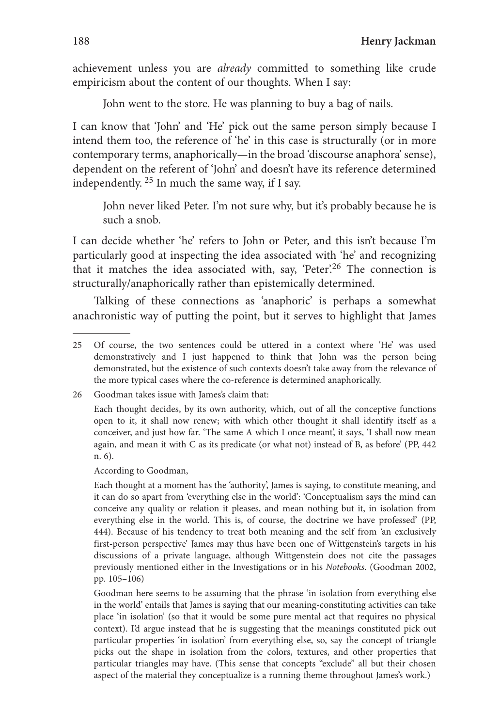achievement unless you are *already* committed to something like crude empiricism about the content of our thoughts. When I say:

John went to the store. He was planning to buy a bag of nails.

I can know that 'John' and 'He' pick out the same person simply because I intend them too, the reference of 'he' in this case is structurally (or in more contemporary terms, anaphorically—in the broad 'discourse anaphora' sense), dependent on the referent of 'John' and doesn't have its reference determined independently. 25 In much the same way, if I say.

John never liked Peter. I'm not sure why, but it's probably because he is such a snob.

I can decide whether 'he' refers to John or Peter, and this isn't because I'm particularly good at inspecting the idea associated with 'he' and recognizing that it matches the idea associated with, say, 'Peter'.<sup>26</sup> The connection is structurally/anaphorically rather than epistemically determined.

Talking of these connections as 'anaphoric' is perhaps a somewhat anachronistic way of putting the point, but it serves to highlight that James

26 Goodman takes issue with James's claim that:

According to Goodman,

 Each thought at a moment has the 'authority', James is saying, to constitute meaning, and it can do so apart from 'everything else in the world': 'Conceptualism says the mind can conceive any quality or relation it pleases, and mean nothing but it, in isolation from everything else in the world. This is, of course, the doctrine we have professed' (PP, 444). Because of his tendency to treat both meaning and the self from 'an exclusively first-person perspective' James may thus have been one of Wittgenstein's targets in his discussions of a private language, although Wittgenstein does not cite the passages previously mentioned either in the Investigations or in his *Notebooks*. (Goodman 2002, pp. 105–106)

 Goodman here seems to be assuming that the phrase 'in isolation from everything else in the world' entails that James is saying that our meaning-constituting activities can take place 'in isolation' (so that it would be some pure mental act that requires no physical context). I'd argue instead that he is suggesting that the meanings constituted pick out particular properties 'in isolation' from everything else, so, say the concept of triangle picks out the shape in isolation from the colors, textures, and other properties that particular triangles may have. (This sense that concepts "exclude" all but their chosen aspect of the material they conceptualize is a running theme throughout James's work.)

<sup>25</sup> Of course, the two sentences could be uttered in a context where 'He' was used demonstratively and I just happened to think that John was the person being demonstrated, but the existence of such contexts doesn't take away from the relevance of the more typical cases where the co-reference is determined anaphorically.

Each thought decides, by its own authority, which, out of all the conceptive functions open to it, it shall now renew; with which other thought it shall identify itself as a conceiver, and just how far. 'The same A which I once meant', it says, 'I shall now mean again, and mean it with C as its predicate (or what not) instead of B, as before' (PP, 442 n. 6).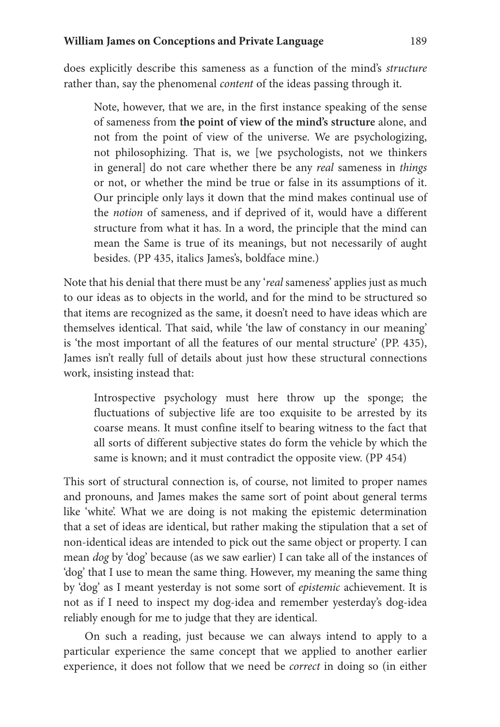does explicitly describe this sameness as a function of the mind's *structure* rather than, say the phenomenal *content* of the ideas passing through it.

Note, however, that we are, in the first instance speaking of the sense of sameness from **the point of view of the mind's structure** alone, and not from the point of view of the universe. We are psychologizing, not philosophizing. That is, we [we psychologists, not we thinkers in general] do not care whether there be any *real* sameness in *things*  or not, or whether the mind be true or false in its assumptions of it. Our principle only lays it down that the mind makes continual use of the *notion* of sameness, and if deprived of it, would have a different structure from what it has. In a word, the principle that the mind can mean the Same is true of its meanings, but not necessarily of aught besides. (PP 435, italics James's, boldface mine.)

Note that his denial that there must be any '*real* sameness' applies just as much to our ideas as to objects in the world, and for the mind to be structured so that items are recognized as the same, it doesn't need to have ideas which are themselves identical. That said, while 'the law of constancy in our meaning' is 'the most important of all the features of our mental structure' (PP. 435), James isn't really full of details about just how these structural connections work, insisting instead that:

Introspective psychology must here throw up the sponge; the fluctuations of subjective life are too exquisite to be arrested by its coarse means. It must confine itself to bearing witness to the fact that all sorts of different subjective states do form the vehicle by which the same is known; and it must contradict the opposite view. (PP 454)

This sort of structural connection is, of course, not limited to proper names and pronouns, and James makes the same sort of point about general terms like 'white'. What we are doing is not making the epistemic determination that a set of ideas are identical, but rather making the stipulation that a set of non-identical ideas are intended to pick out the same object or property. I can mean *dog* by 'dog' because (as we saw earlier) I can take all of the instances of 'dog' that I use to mean the same thing. However, my meaning the same thing by 'dog' as I meant yesterday is not some sort of *epistemic* achievement. It is not as if I need to inspect my dog-idea and remember yesterday's dog-idea reliably enough for me to judge that they are identical.

On such a reading, just because we can always intend to apply to a particular experience the same concept that we applied to another earlier experience, it does not follow that we need be *correct* in doing so (in either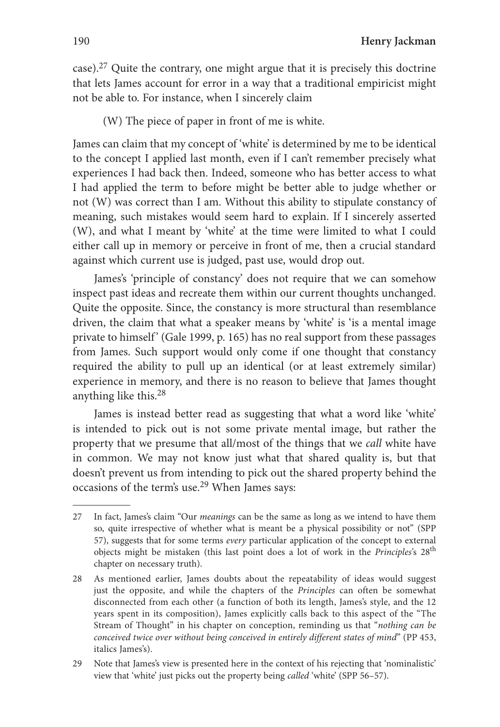case).27 Quite the contrary, one might argue that it is precisely this doctrine that lets James account for error in a way that a traditional empiricist might not be able to. For instance, when I sincerely claim

(W) The piece of paper in front of me is white.

James can claim that my concept of 'white' is determined by me to be identical to the concept I applied last month, even if I can't remember precisely what experiences I had back then. Indeed, someone who has better access to what I had applied the term to before might be better able to judge whether or not (W) was correct than I am. Without this ability to stipulate constancy of meaning, such mistakes would seem hard to explain. If I sincerely asserted (W), and what I meant by 'white' at the time were limited to what I could either call up in memory or perceive in front of me, then a crucial standard against which current use is judged, past use, would drop out.

James's 'principle of constancy' does not require that we can somehow inspect past ideas and recreate them within our current thoughts unchanged. Quite the opposite. Since, the constancy is more structural than resemblance driven, the claim that what a speaker means by 'white' is 'is a mental image private to himself' (Gale 1999, p. 165) has no real support from these passages from James. Such support would only come if one thought that constancy required the ability to pull up an identical (or at least extremely similar) experience in memory, and there is no reason to believe that James thought anything like this.28

James is instead better read as suggesting that what a word like 'white' is intended to pick out is not some private mental image, but rather the property that we presume that all/most of the things that we *call* white have in common. We may not know just what that shared quality is, but that doesn't prevent us from intending to pick out the shared property behind the occasions of the term's use.29 When James says:

<sup>27</sup> In fact, James's claim "Our *meanings* can be the same as long as we intend to have them so, quite irrespective of whether what is meant be a physical possibility or not" (SPP 57), suggests that for some terms *every* particular application of the concept to external objects might be mistaken (this last point does a lot of work in the *Principles'*s 28th chapter on necessary truth).

<sup>28</sup> As mentioned earlier, James doubts about the repeatability of ideas would suggest just the opposite, and while the chapters of the *Principles* can often be somewhat disconnected from each other (a function of both its length, James's style, and the 12 years spent in its composition), James explicitly calls back to this aspect of the "The Stream of Thought" in his chapter on conception, reminding us that "*nothing can be conceived twice over without being conceived in entirely different states of mind*" (PP 453, italics James's).

<sup>29</sup> Note that James's view is presented here in the context of his rejecting that 'nominalistic' view that 'white' just picks out the property being *called* 'white' (SPP 56–57).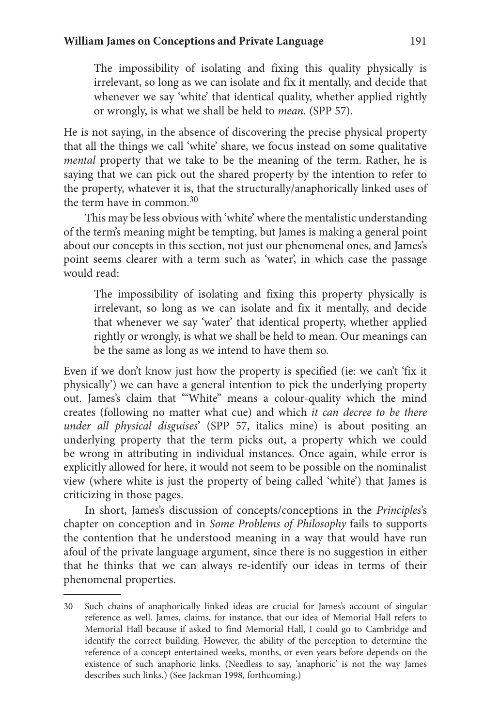The impossibility of isolating and fixing this quality physically is irrelevant, so long as we can isolate and fix it mentally, and decide that whenever we say 'white' that identical quality, whether applied rightly or wrongly, is what we shall be held to *mean*. (SPP 57).

He is not saying, in the absence of discovering the precise physical property that all the things we call 'white' share, we focus instead on some qualitative *mental* property that we take to be the meaning of the term. Rather, he is saying that we can pick out the shared property by the intention to refer to the property, whatever it is, that the structurally/anaphorically linked uses of the term have in common.30

This may be less obvious with 'white' where the mentalistic understanding of the term's meaning might be tempting, but James is making a general point about our concepts in this section, not just our phenomenal ones, and James's point seems clearer with a term such as 'water', in which case the passage would read:

The impossibility of isolating and fixing this property physically is irrelevant, so long as we can isolate and fix it mentally, and decide that whenever we say 'water' that identical property, whether applied rightly or wrongly, is what we shall be held to mean. Our meanings can be the same as long as we intend to have them so.

Even if we don't know just how the property is specified (ie: we can't 'fix it physically') we can have a general intention to pick the underlying property out. James's claim that '"White" means a colour-quality which the mind creates (following no matter what cue) and which *it can decree to be there under all physical disguises*' (SPP 57, italics mine) is about positing an underlying property that the term picks out, a property which we could be wrong in attributing in individual instances. Once again, while error is explicitly allowed for here, it would not seem to be possible on the nominalist view (where white is just the property of being called 'white') that James is criticizing in those pages.

In short, James's discussion of concepts/conceptions in the *Principles*'s chapter on conception and in *Some Problems of Philosophy* fails to supports the contention that he understood meaning in a way that would have run afoul of the private language argument, since there is no suggestion in either that he thinks that we can always re-identify our ideas in terms of their phenomenal properties.

<sup>30</sup> Such chains of anaphorically linked ideas are crucial for James's account of singular reference as well. James, claims, for instance, that our idea of Memorial Hall refers to Memorial Hall because if asked to find Memorial Hall, I could go to Cambridge and identify the correct building. However, the ability of the perception to determine the reference of a concept entertained weeks, months, or even years before depends on the existence of such anaphoric links. (Needless to say, 'anaphoric' is not the way James describes such links.) (See Jackman 1998, forthcoming.)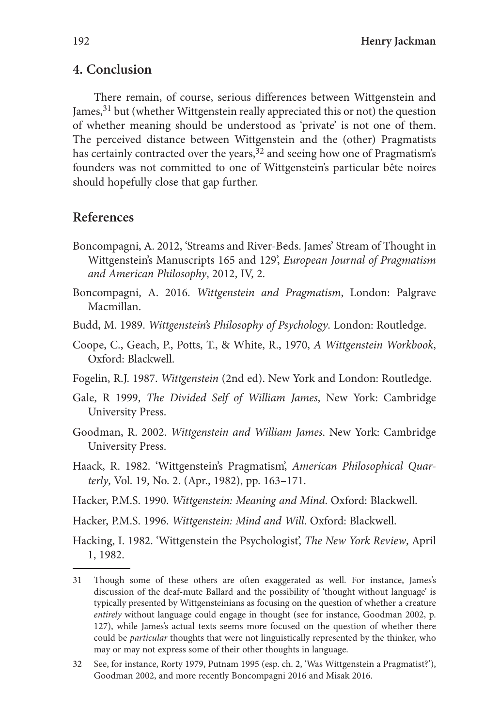### **4. Conclusion**

There remain, of course, serious differences between Wittgenstein and James,  $31$  but (whether Wittgenstein really appreciated this or not) the question of whether meaning should be understood as 'private' is not one of them. The perceived distance between Wittgenstein and the (other) Pragmatists has certainly contracted over the years,<sup>32</sup> and seeing how one of Pragmatism's founders was not committed to one of Wittgenstein's particular bête noires should hopefully close that gap further.

#### **References**

- Boncompagni, A. 2012, 'Streams and River-Beds. James' Stream of Thought in Wittgenstein's Manuscripts 165 and 129', *European Journal of Pragmatism and American Philosophy*, 2012, IV, 2.
- Boncompagni, A. 2016. *Wittgenstein and Pragmatism*, London: Palgrave Macmillan.
- Budd, M. 1989. *Wittgenstein's Philosophy of Psychology*. London: Routledge.
- Coope, C., Geach, P., Potts, T., & White, R., 1970, *A Wittgenstein Workbook*, Oxford: Blackwell.
- Fogelin, R.J. 1987. *Wittgenstein* (2nd ed). New York and London: Routledge.
- Gale, R 1999, *The Divided Self of William James*, New York: Cambridge University Press.
- Goodman, R. 2002. *Wittgenstein and William James*. New York: Cambridge University Press.
- Haack, R. 1982. 'Wittgenstein's Pragmatism', *American Philosophical Quarterly*, Vol. 19, No. 2. (Apr., 1982), pp. 163–171.
- Hacker, P.M.S. 1990. *Wittgenstein: Meaning and Mind*. Oxford: Blackwell.
- Hacker, P.M.S. 1996. *Wittgenstein: Mind and Will*. Oxford: Blackwell.
- Hacking, I. 1982. 'Wittgenstein the Psychologist', *The New York Review*, April 1, 1982.

32 See, for instance, Rorty 1979, Putnam 1995 (esp. ch. 2, 'Was Wittgenstein a Pragmatist?'), Goodman 2002, and more recently Boncompagni 2016 and Misak 2016.

<sup>31</sup> Though some of these others are often exaggerated as well. For instance, James's discussion of the deaf-mute Ballard and the possibility of 'thought without language' is typically presented by Wittgensteinians as focusing on the question of whether a creature *entirely* without language could engage in thought (see for instance, Goodman 2002, p. 127), while James's actual texts seems more focused on the question of whether there could be *particular* thoughts that were not linguistically represented by the thinker, who may or may not express some of their other thoughts in language.